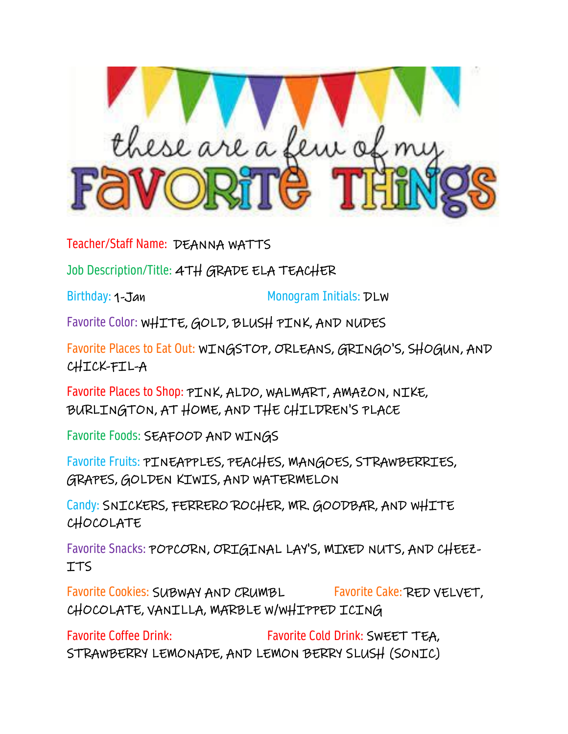

Teacher/Staff Name: DEANNA WATTS

Job Description/Title: 4TH GRADE ELA TEACHER

Birthday: 1-Jan Monogram Initials: DLW

Favorite Color: WHITE, GOLD, BLUSH PINK, AND NUDES

Favorite Places to Eat Out: WINGSTOP, ORLEANS, GRINGO'S, SHOGUN, AND CHICK-FIL-A

Favorite Places to Shop: PINK, ALDO, WALMART, AMAZON, NIKE, BURLINGTON, AT HOME, AND THE CHILDREN'S PLACE

Favorite Foods: SEAFOOD AND WINGS

Favorite Fruits: PINEAPPLES, PEACHES, MANGOES, STRAWBERRIES, GRAPES, GOLDEN KIWIS, AND WATERMELON

Candy: SNICKERS, FERRERO ROCHER, MR. GOODBAR, AND WHITE CHOCOLATE

Favorite Snacks: POPCORN, ORIGINAL LAY'S, MIXED NUTS, AND CHEEZ-ITS

Favorite Cookies: SUBWAY AND CRUMBL Favorite Cake: RED VELVET, CHOCOLATE, VANILLA, MARBLE W/WHIPPED ICING

Favorite Coffee Drink: Favorite Cold Drink: SWEET TEA, STRAWBERRY LEMONADE, AND LEMON BERRY SLUSH (SONIC)